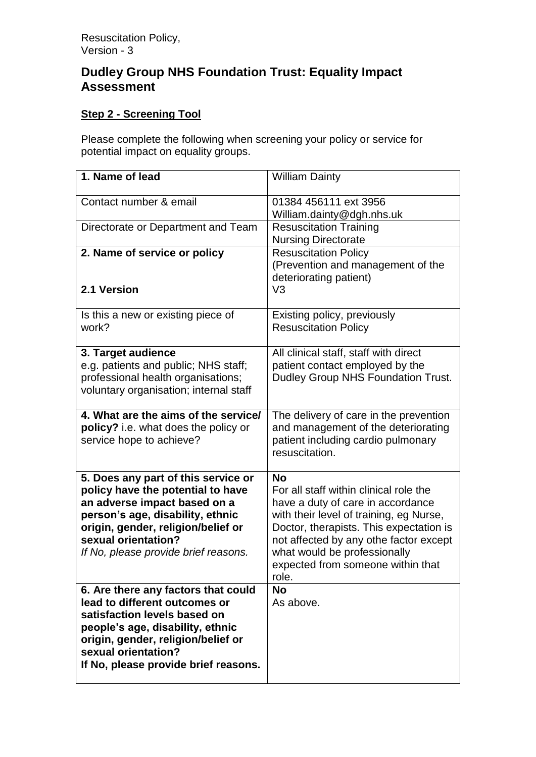## **Dudley Group NHS Foundation Trust: Equality Impact Assessment**

## **Step 2 - Screening Tool**

Please complete the following when screening your policy or service for potential impact on equality groups.

| 1. Name of lead                                                                                                                                                                                                                                   | <b>William Dainty</b>                                                                                                                                                                                                                                                                                  |
|---------------------------------------------------------------------------------------------------------------------------------------------------------------------------------------------------------------------------------------------------|--------------------------------------------------------------------------------------------------------------------------------------------------------------------------------------------------------------------------------------------------------------------------------------------------------|
| Contact number & email                                                                                                                                                                                                                            | 01384 456111 ext 3956<br>William.dainty@dgh.nhs.uk                                                                                                                                                                                                                                                     |
| Directorate or Department and Team                                                                                                                                                                                                                | <b>Resuscitation Training</b><br><b>Nursing Directorate</b>                                                                                                                                                                                                                                            |
| 2. Name of service or policy<br>2.1 Version                                                                                                                                                                                                       | <b>Resuscitation Policy</b><br>(Prevention and management of the<br>deteriorating patient)<br>V <sub>3</sub>                                                                                                                                                                                           |
| Is this a new or existing piece of<br>work?                                                                                                                                                                                                       | Existing policy, previously<br><b>Resuscitation Policy</b>                                                                                                                                                                                                                                             |
| 3. Target audience<br>e.g. patients and public; NHS staff;<br>professional health organisations;<br>voluntary organisation; internal staff                                                                                                        | All clinical staff, staff with direct<br>patient contact employed by the<br>Dudley Group NHS Foundation Trust.                                                                                                                                                                                         |
| 4. What are the aims of the service/<br>policy? i.e. what does the policy or<br>service hope to achieve?                                                                                                                                          | The delivery of care in the prevention<br>and management of the deteriorating<br>patient including cardio pulmonary<br>resuscitation.                                                                                                                                                                  |
| 5. Does any part of this service or<br>policy have the potential to have<br>an adverse impact based on a<br>person's age, disability, ethnic<br>origin, gender, religion/belief or<br>sexual orientation?<br>If No, please provide brief reasons. | <b>No</b><br>For all staff within clinical role the<br>have a duty of care in accordance<br>with their level of training, eg Nurse,<br>Doctor, therapists. This expectation is<br>not affected by any othe factor except<br>what would be professionally<br>expected from someone within that<br>role. |
| 6. Are there any factors that could<br>lead to different outcomes or<br>satisfaction levels based on<br>people's age, disability, ethnic<br>origin, gender, religion/belief or<br>sexual orientation?<br>If No, please provide brief reasons.     | <b>No</b><br>As above.                                                                                                                                                                                                                                                                                 |